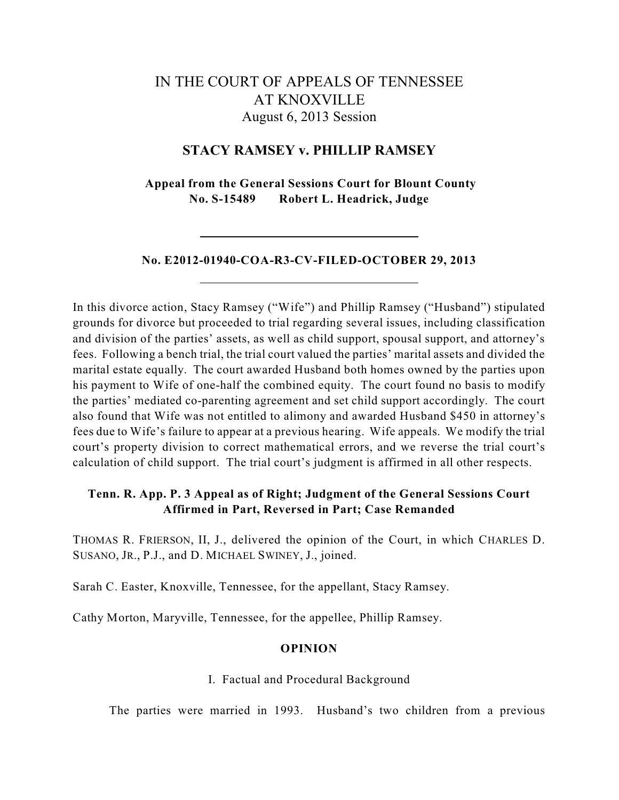# IN THE COURT OF APPEALS OF TENNESSEE AT KNOXVILLE August 6, 2013 Session

# **STACY RAMSEY v. PHILLIP RAMSEY**

**Appeal from the General Sessions Court for Blount County No. S-15489 Robert L. Headrick, Judge**

## **No. E2012-01940-COA-R3-CV-FILED-OCTOBER 29, 2013**

In this divorce action, Stacy Ramsey ("Wife") and Phillip Ramsey ("Husband") stipulated grounds for divorce but proceeded to trial regarding several issues, including classification and division of the parties' assets, as well as child support, spousal support, and attorney's fees. Following a bench trial, the trial court valued the parties' marital assets and divided the marital estate equally. The court awarded Husband both homes owned by the parties upon his payment to Wife of one-half the combined equity. The court found no basis to modify the parties' mediated co-parenting agreement and set child support accordingly. The court also found that Wife was not entitled to alimony and awarded Husband \$450 in attorney's fees due to Wife's failure to appear at a previous hearing. Wife appeals. We modify the trial court's property division to correct mathematical errors, and we reverse the trial court's calculation of child support. The trial court's judgment is affirmed in all other respects.

# **Tenn. R. App. P. 3 Appeal as of Right; Judgment of the General Sessions Court Affirmed in Part, Reversed in Part; Case Remanded**

THOMAS R. FRIERSON, II, J., delivered the opinion of the Court, in which CHARLES D. SUSANO, JR., P.J., and D. MICHAEL SWINEY, J., joined.

Sarah C. Easter, Knoxville, Tennessee, for the appellant, Stacy Ramsey.

Cathy Morton, Maryville, Tennessee, for the appellee, Phillip Ramsey.

# **OPINION**

#### I. Factual and Procedural Background

The parties were married in 1993. Husband's two children from a previous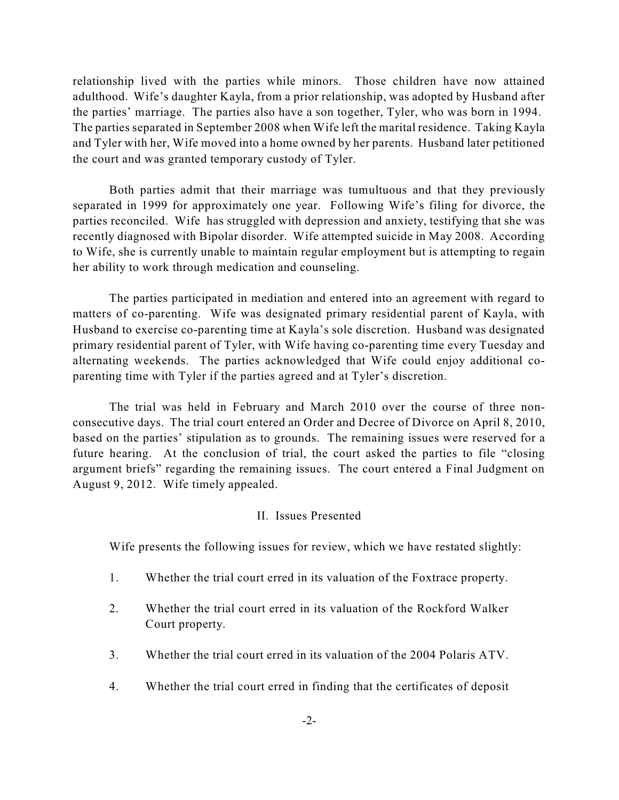relationship lived with the parties while minors. Those children have now attained adulthood. Wife's daughter Kayla, from a prior relationship, was adopted by Husband after the parties' marriage. The parties also have a son together, Tyler, who was born in 1994. The parties separated in September 2008 when Wife left the marital residence. Taking Kayla and Tyler with her, Wife moved into a home owned by her parents. Husband later petitioned the court and was granted temporary custody of Tyler.

Both parties admit that their marriage was tumultuous and that they previously separated in 1999 for approximately one year. Following Wife's filing for divorce, the parties reconciled. Wife has struggled with depression and anxiety, testifying that she was recently diagnosed with Bipolar disorder. Wife attempted suicide in May 2008. According to Wife, she is currently unable to maintain regular employment but is attempting to regain her ability to work through medication and counseling.

The parties participated in mediation and entered into an agreement with regard to matters of co-parenting. Wife was designated primary residential parent of Kayla, with Husband to exercise co-parenting time at Kayla's sole discretion. Husband was designated primary residential parent of Tyler, with Wife having co-parenting time every Tuesday and alternating weekends. The parties acknowledged that Wife could enjoy additional coparenting time with Tyler if the parties agreed and at Tyler's discretion.

The trial was held in February and March 2010 over the course of three nonconsecutive days. The trial court entered an Order and Decree of Divorce on April 8, 2010, based on the parties' stipulation as to grounds. The remaining issues were reserved for a future hearing. At the conclusion of trial, the court asked the parties to file "closing argument briefs" regarding the remaining issues. The court entered a Final Judgment on August 9, 2012. Wife timely appealed.

# II. Issues Presented

Wife presents the following issues for review, which we have restated slightly:

- 1. Whether the trial court erred in its valuation of the Foxtrace property.
- 2. Whether the trial court erred in its valuation of the Rockford Walker Court property.
- 3. Whether the trial court erred in its valuation of the 2004 Polaris ATV.
- 4. Whether the trial court erred in finding that the certificates of deposit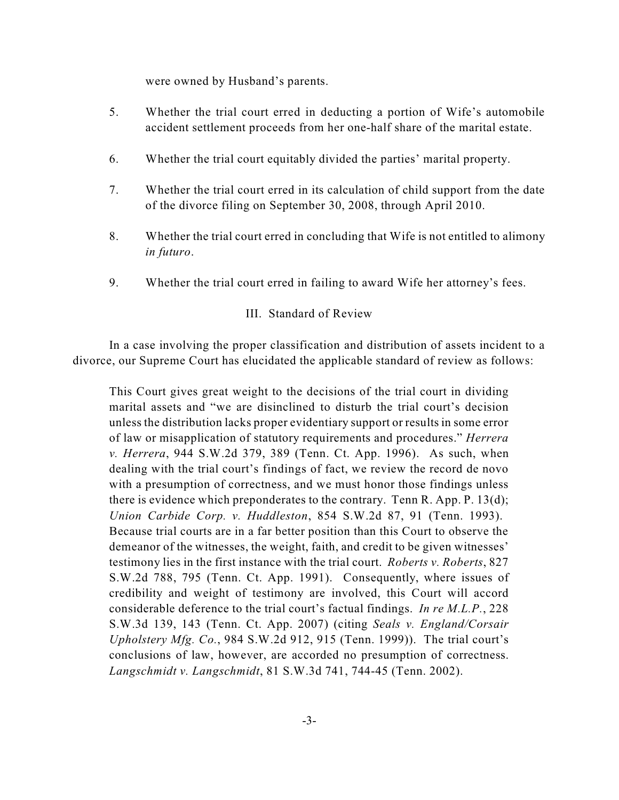were owned by Husband's parents.

- 5. Whether the trial court erred in deducting a portion of Wife's automobile accident settlement proceeds from her one-half share of the marital estate.
- 6. Whether the trial court equitably divided the parties' marital property.
- 7. Whether the trial court erred in its calculation of child support from the date of the divorce filing on September 30, 2008, through April 2010.
- 8. Whether the trial court erred in concluding that Wife is not entitled to alimony *in futuro*.
- 9. Whether the trial court erred in failing to award Wife her attorney's fees.

# III. Standard of Review

In a case involving the proper classification and distribution of assets incident to a divorce, our Supreme Court has elucidated the applicable standard of review as follows:

This Court gives great weight to the decisions of the trial court in dividing marital assets and "we are disinclined to disturb the trial court's decision unless the distribution lacks proper evidentiary support or results in some error of law or misapplication of statutory requirements and procedures." *Herrera v. Herrera*, 944 S.W.2d 379, 389 (Tenn. Ct. App. 1996). As such, when dealing with the trial court's findings of fact, we review the record de novo with a presumption of correctness, and we must honor those findings unless there is evidence which preponderates to the contrary. Tenn R. App. P. 13(d); *Union Carbide Corp. v. Huddleston*, 854 S.W.2d 87, 91 (Tenn. 1993). Because trial courts are in a far better position than this Court to observe the demeanor of the witnesses, the weight, faith, and credit to be given witnesses' testimony lies in the first instance with the trial court. *Roberts v. Roberts*, 827 S.W.2d 788, 795 (Tenn. Ct. App. 1991). Consequently, where issues of credibility and weight of testimony are involved, this Court will accord considerable deference to the trial court's factual findings. *In re M.L.P.*, 228 S.W.3d 139, 143 (Tenn. Ct. App. 2007) (citing *Seals v. England/Corsair Upholstery Mfg. Co.*, 984 S.W.2d 912, 915 (Tenn. 1999)). The trial court's conclusions of law, however, are accorded no presumption of correctness. *Langschmidt v. Langschmidt*, 81 S.W.3d 741, 744-45 (Tenn. 2002).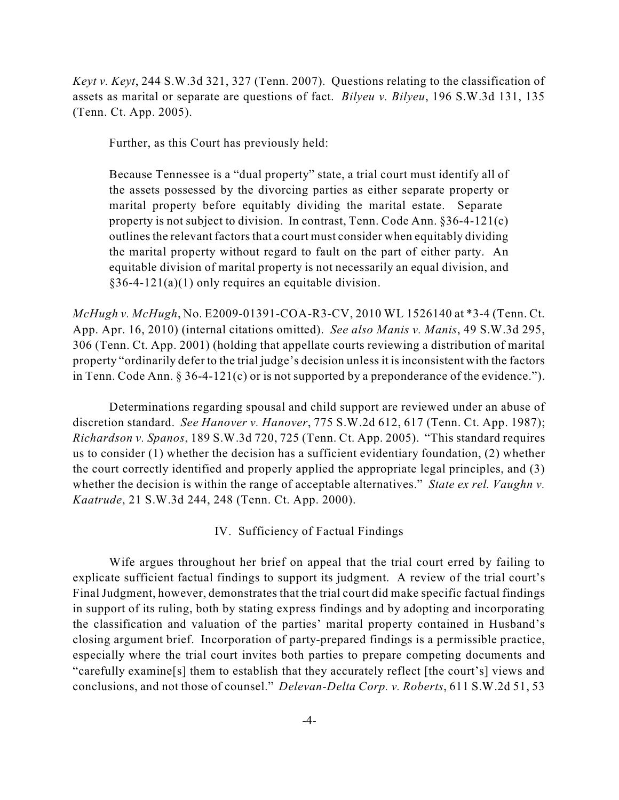*Keyt v. Keyt*, 244 S.W.3d 321, 327 (Tenn. 2007). Questions relating to the classification of assets as marital or separate are questions of fact. *Bilyeu v. Bilyeu*, 196 S.W.3d 131, 135 (Tenn. Ct. App. 2005).

Further, as this Court has previously held:

Because Tennessee is a "dual property" state, a trial court must identify all of the assets possessed by the divorcing parties as either separate property or marital property before equitably dividing the marital estate. Separate property is not subject to division. In contrast, Tenn. Code Ann. §36-4-121(c) outlines the relevant factors that a court must consider when equitably dividing the marital property without regard to fault on the part of either party. An equitable division of marital property is not necessarily an equal division, and §36-4-121(a)(1) only requires an equitable division.

*McHugh v. McHugh*, No. E2009-01391-COA-R3-CV, 2010 WL 1526140 at \*3-4 (Tenn. Ct. App. Apr. 16, 2010) (internal citations omitted). *See also Manis v. Manis*, 49 S.W.3d 295, 306 (Tenn. Ct. App. 2001) (holding that appellate courts reviewing a distribution of marital property "ordinarily defer to the trial judge's decision unless it is inconsistent with the factors in Tenn. Code Ann. § 36-4-121(c) or is not supported by a preponderance of the evidence.").

Determinations regarding spousal and child support are reviewed under an abuse of discretion standard. *See Hanover v. Hanover*, 775 S.W.2d 612, 617 (Tenn. Ct. App. 1987); *Richardson v. Spanos*, 189 S.W.3d 720, 725 (Tenn. Ct. App. 2005). "This standard requires us to consider (1) whether the decision has a sufficient evidentiary foundation, (2) whether the court correctly identified and properly applied the appropriate legal principles, and (3) whether the decision is within the range of acceptable alternatives." *State ex rel. Vaughn v. Kaatrude*, 21 S.W.3d 244, 248 (Tenn. Ct. App. 2000).

IV. Sufficiency of Factual Findings

Wife argues throughout her brief on appeal that the trial court erred by failing to explicate sufficient factual findings to support its judgment. A review of the trial court's Final Judgment, however, demonstrates that the trial court did make specific factual findings in support of its ruling, both by stating express findings and by adopting and incorporating the classification and valuation of the parties' marital property contained in Husband's closing argument brief. Incorporation of party-prepared findings is a permissible practice, especially where the trial court invites both parties to prepare competing documents and "carefully examine[s] them to establish that they accurately reflect [the court's] views and conclusions, and not those of counsel." *Delevan-Delta Corp. v. Roberts*, 611 S.W.2d 51, 53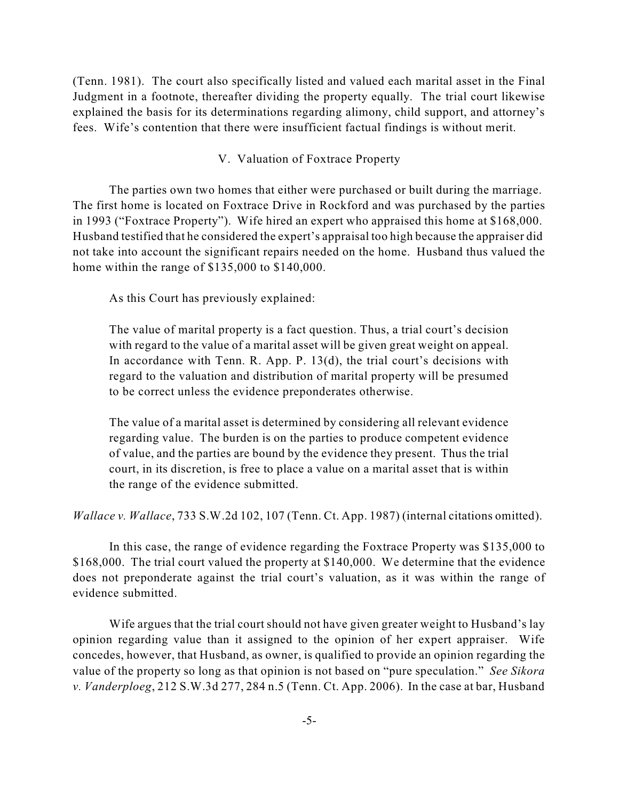(Tenn. 1981). The court also specifically listed and valued each marital asset in the Final Judgment in a footnote, thereafter dividing the property equally. The trial court likewise explained the basis for its determinations regarding alimony, child support, and attorney's fees. Wife's contention that there were insufficient factual findings is without merit.

V. Valuation of Foxtrace Property

The parties own two homes that either were purchased or built during the marriage. The first home is located on Foxtrace Drive in Rockford and was purchased by the parties in 1993 ("Foxtrace Property"). Wife hired an expert who appraised this home at \$168,000. Husband testified that he considered the expert's appraisal too high because the appraiser did not take into account the significant repairs needed on the home. Husband thus valued the home within the range of \$135,000 to \$140,000.

As this Court has previously explained:

The value of marital property is a fact question. Thus, a trial court's decision with regard to the value of a marital asset will be given great weight on appeal. In accordance with Tenn. R. App. P. 13(d), the trial court's decisions with regard to the valuation and distribution of marital property will be presumed to be correct unless the evidence preponderates otherwise.

The value of a marital asset is determined by considering all relevant evidence regarding value. The burden is on the parties to produce competent evidence of value, and the parties are bound by the evidence they present. Thus the trial court, in its discretion, is free to place a value on a marital asset that is within the range of the evidence submitted.

*Wallace v. Wallace*, 733 S.W.2d 102, 107 (Tenn. Ct. App. 1987) (internal citations omitted).

In this case, the range of evidence regarding the Foxtrace Property was \$135,000 to \$168,000. The trial court valued the property at \$140,000. We determine that the evidence does not preponderate against the trial court's valuation, as it was within the range of evidence submitted.

Wife argues that the trial court should not have given greater weight to Husband's lay opinion regarding value than it assigned to the opinion of her expert appraiser. Wife concedes, however, that Husband, as owner, is qualified to provide an opinion regarding the value of the property so long as that opinion is not based on "pure speculation." *See Sikora v. Vanderploeg*, 212 S.W.3d 277, 284 n.5 (Tenn. Ct. App. 2006). In the case at bar, Husband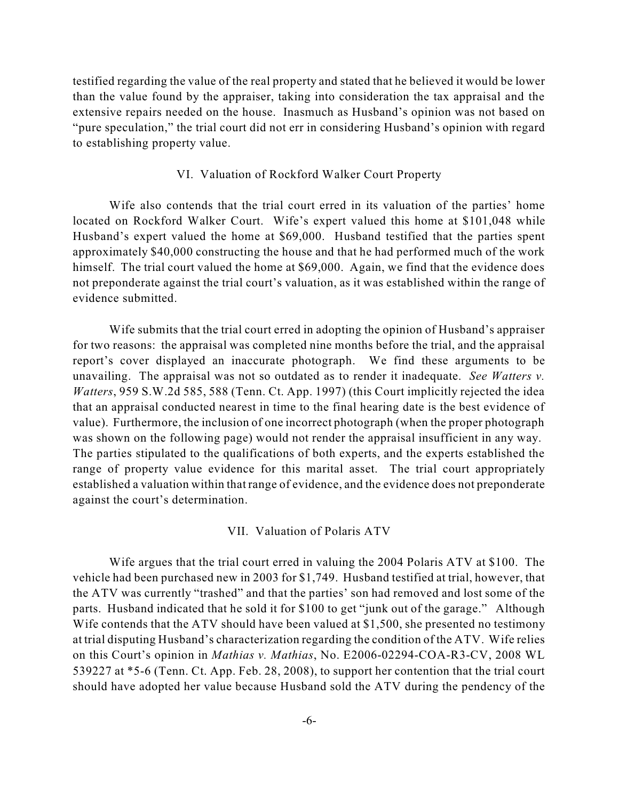testified regarding the value of the real property and stated that he believed it would be lower than the value found by the appraiser, taking into consideration the tax appraisal and the extensive repairs needed on the house. Inasmuch as Husband's opinion was not based on "pure speculation," the trial court did not err in considering Husband's opinion with regard to establishing property value.

## VI. Valuation of Rockford Walker Court Property

Wife also contends that the trial court erred in its valuation of the parties' home located on Rockford Walker Court. Wife's expert valued this home at \$101,048 while Husband's expert valued the home at \$69,000. Husband testified that the parties spent approximately \$40,000 constructing the house and that he had performed much of the work himself. The trial court valued the home at \$69,000. Again, we find that the evidence does not preponderate against the trial court's valuation, as it was established within the range of evidence submitted.

Wife submits that the trial court erred in adopting the opinion of Husband's appraiser for two reasons: the appraisal was completed nine months before the trial, and the appraisal report's cover displayed an inaccurate photograph. We find these arguments to be unavailing. The appraisal was not so outdated as to render it inadequate. *See Watters v. Watters*, 959 S.W.2d 585, 588 (Tenn. Ct. App. 1997) (this Court implicitly rejected the idea that an appraisal conducted nearest in time to the final hearing date is the best evidence of value). Furthermore, the inclusion of one incorrect photograph (when the proper photograph was shown on the following page) would not render the appraisal insufficient in any way. The parties stipulated to the qualifications of both experts, and the experts established the range of property value evidence for this marital asset. The trial court appropriately established a valuation within that range of evidence, and the evidence does not preponderate against the court's determination.

#### VII. Valuation of Polaris ATV

Wife argues that the trial court erred in valuing the 2004 Polaris ATV at \$100. The vehicle had been purchased new in 2003 for \$1,749. Husband testified at trial, however, that the ATV was currently "trashed" and that the parties' son had removed and lost some of the parts. Husband indicated that he sold it for \$100 to get "junk out of the garage." Although Wife contends that the ATV should have been valued at \$1,500, she presented no testimony at trial disputing Husband's characterization regarding the condition of the ATV. Wife relies on this Court's opinion in *Mathias v. Mathias*, No. E2006-02294-COA-R3-CV, 2008 WL 539227 at \*5-6 (Tenn. Ct. App. Feb. 28, 2008), to support her contention that the trial court should have adopted her value because Husband sold the ATV during the pendency of the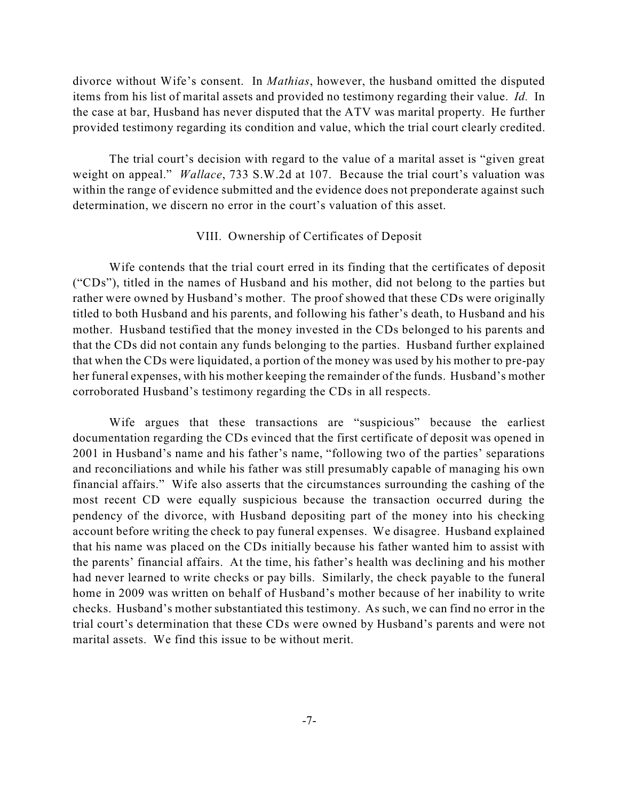divorce without Wife's consent. In *Mathias*, however, the husband omitted the disputed items from his list of marital assets and provided no testimony regarding their value. *Id.* In the case at bar, Husband has never disputed that the ATV was marital property. He further provided testimony regarding its condition and value, which the trial court clearly credited.

The trial court's decision with regard to the value of a marital asset is "given great weight on appeal." *Wallace*, 733 S.W.2d at 107. Because the trial court's valuation was within the range of evidence submitted and the evidence does not preponderate against such determination, we discern no error in the court's valuation of this asset.

# VIII. Ownership of Certificates of Deposit

Wife contends that the trial court erred in its finding that the certificates of deposit ("CDs"), titled in the names of Husband and his mother, did not belong to the parties but rather were owned by Husband's mother. The proof showed that these CDs were originally titled to both Husband and his parents, and following his father's death, to Husband and his mother. Husband testified that the money invested in the CDs belonged to his parents and that the CDs did not contain any funds belonging to the parties. Husband further explained that when the CDs were liquidated, a portion of the money was used by his mother to pre-pay her funeral expenses, with his mother keeping the remainder of the funds. Husband's mother corroborated Husband's testimony regarding the CDs in all respects.

Wife argues that these transactions are "suspicious" because the earliest documentation regarding the CDs evinced that the first certificate of deposit was opened in 2001 in Husband's name and his father's name, "following two of the parties' separations and reconciliations and while his father was still presumably capable of managing his own financial affairs." Wife also asserts that the circumstances surrounding the cashing of the most recent CD were equally suspicious because the transaction occurred during the pendency of the divorce, with Husband depositing part of the money into his checking account before writing the check to pay funeral expenses. We disagree. Husband explained that his name was placed on the CDs initially because his father wanted him to assist with the parents' financial affairs. At the time, his father's health was declining and his mother had never learned to write checks or pay bills. Similarly, the check payable to the funeral home in 2009 was written on behalf of Husband's mother because of her inability to write checks. Husband's mother substantiated this testimony. As such, we can find no error in the trial court's determination that these CDs were owned by Husband's parents and were not marital assets. We find this issue to be without merit.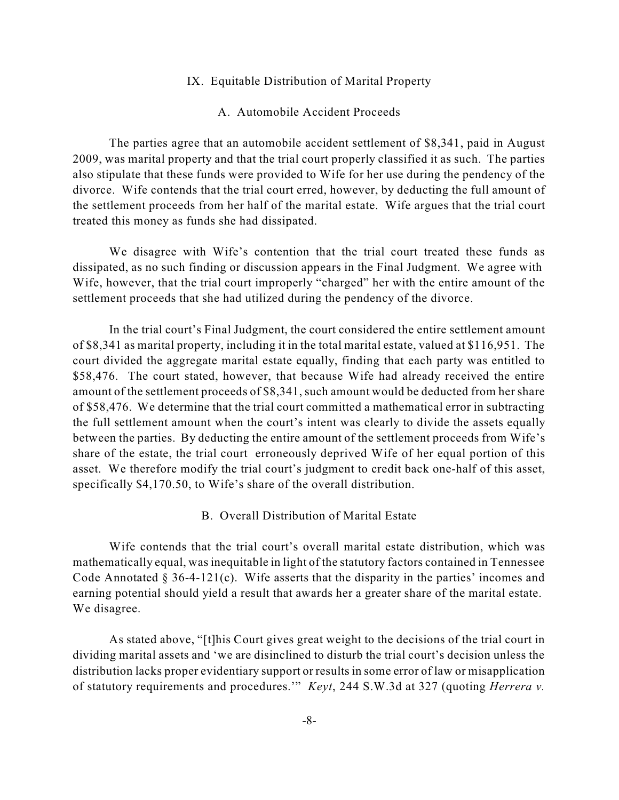## IX. Equitable Distribution of Marital Property

# A. Automobile Accident Proceeds

The parties agree that an automobile accident settlement of \$8,341, paid in August 2009, was marital property and that the trial court properly classified it as such. The parties also stipulate that these funds were provided to Wife for her use during the pendency of the divorce. Wife contends that the trial court erred, however, by deducting the full amount of the settlement proceeds from her half of the marital estate. Wife argues that the trial court treated this money as funds she had dissipated.

We disagree with Wife's contention that the trial court treated these funds as dissipated, as no such finding or discussion appears in the Final Judgment. We agree with Wife, however, that the trial court improperly "charged" her with the entire amount of the settlement proceeds that she had utilized during the pendency of the divorce.

In the trial court's Final Judgment, the court considered the entire settlement amount of \$8,341 as marital property, including it in the total marital estate, valued at \$116,951. The court divided the aggregate marital estate equally, finding that each party was entitled to \$58,476. The court stated, however, that because Wife had already received the entire amount of the settlement proceeds of \$8,341, such amount would be deducted from her share of \$58,476. We determine that the trial court committed a mathematical error in subtracting the full settlement amount when the court's intent was clearly to divide the assets equally between the parties. By deducting the entire amount of the settlement proceeds from Wife's share of the estate, the trial court erroneously deprived Wife of her equal portion of this asset. We therefore modify the trial court's judgment to credit back one-half of this asset, specifically \$4,170.50, to Wife's share of the overall distribution.

# B. Overall Distribution of Marital Estate

Wife contends that the trial court's overall marital estate distribution, which was mathematically equal, wasinequitable in light of the statutory factors contained in Tennessee Code Annotated  $\S 36-4-121(c)$ . Wife asserts that the disparity in the parties' incomes and earning potential should yield a result that awards her a greater share of the marital estate. We disagree.

As stated above, "[t]his Court gives great weight to the decisions of the trial court in dividing marital assets and 'we are disinclined to disturb the trial court's decision unless the distribution lacks proper evidentiary support or results in some error of law or misapplication of statutory requirements and procedures.'" *Keyt*, 244 S.W.3d at 327 (quoting *Herrera v.*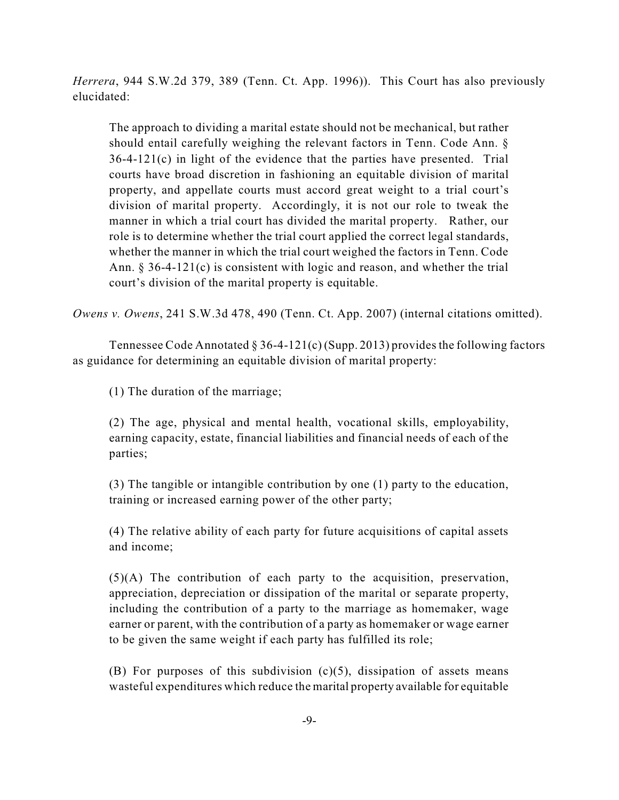*Herrera*, 944 S.W.2d 379, 389 (Tenn. Ct. App. 1996)). This Court has also previously elucidated:

The approach to dividing a marital estate should not be mechanical, but rather should entail carefully weighing the relevant factors in Tenn. Code Ann. § 36-4-121(c) in light of the evidence that the parties have presented. Trial courts have broad discretion in fashioning an equitable division of marital property, and appellate courts must accord great weight to a trial court's division of marital property. Accordingly, it is not our role to tweak the manner in which a trial court has divided the marital property. Rather, our role is to determine whether the trial court applied the correct legal standards, whether the manner in which the trial court weighed the factors in Tenn. Code Ann. § 36-4-121(c) is consistent with logic and reason, and whether the trial court's division of the marital property is equitable.

*Owens v. Owens*, 241 S.W.3d 478, 490 (Tenn. Ct. App. 2007) (internal citations omitted).

Tennessee Code Annotated  $\S 36-4-121(c)$  (Supp. 2013) provides the following factors as guidance for determining an equitable division of marital property:

(1) The duration of the marriage;

(2) The age, physical and mental health, vocational skills, employability, earning capacity, estate, financial liabilities and financial needs of each of the parties;

(3) The tangible or intangible contribution by one (1) party to the education, training or increased earning power of the other party;

(4) The relative ability of each party for future acquisitions of capital assets and income;

(5)(A) The contribution of each party to the acquisition, preservation, appreciation, depreciation or dissipation of the marital or separate property, including the contribution of a party to the marriage as homemaker, wage earner or parent, with the contribution of a party as homemaker or wage earner to be given the same weight if each party has fulfilled its role;

(B) For purposes of this subdivision  $(c)(5)$ , dissipation of assets means wasteful expenditures which reduce the marital property available for equitable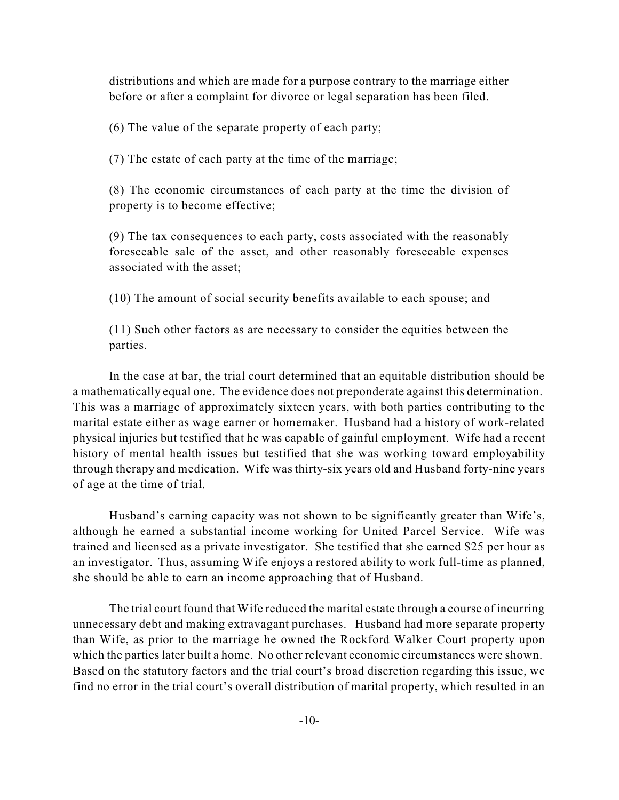distributions and which are made for a purpose contrary to the marriage either before or after a complaint for divorce or legal separation has been filed.

(6) The value of the separate property of each party;

(7) The estate of each party at the time of the marriage;

(8) The economic circumstances of each party at the time the division of property is to become effective;

(9) The tax consequences to each party, costs associated with the reasonably foreseeable sale of the asset, and other reasonably foreseeable expenses associated with the asset;

(10) The amount of social security benefits available to each spouse; and

(11) Such other factors as are necessary to consider the equities between the parties.

In the case at bar, the trial court determined that an equitable distribution should be a mathematically equal one. The evidence does not preponderate against this determination. This was a marriage of approximately sixteen years, with both parties contributing to the marital estate either as wage earner or homemaker. Husband had a history of work-related physical injuries but testified that he was capable of gainful employment. Wife had a recent history of mental health issues but testified that she was working toward employability through therapy and medication. Wife was thirty-six years old and Husband forty-nine years of age at the time of trial.

Husband's earning capacity was not shown to be significantly greater than Wife's, although he earned a substantial income working for United Parcel Service. Wife was trained and licensed as a private investigator. She testified that she earned \$25 per hour as an investigator. Thus, assuming Wife enjoys a restored ability to work full-time as planned, she should be able to earn an income approaching that of Husband.

The trial court found that Wife reduced the marital estate through a course of incurring unnecessary debt and making extravagant purchases. Husband had more separate property than Wife, as prior to the marriage he owned the Rockford Walker Court property upon which the parties later built a home. No other relevant economic circumstances were shown. Based on the statutory factors and the trial court's broad discretion regarding this issue, we find no error in the trial court's overall distribution of marital property, which resulted in an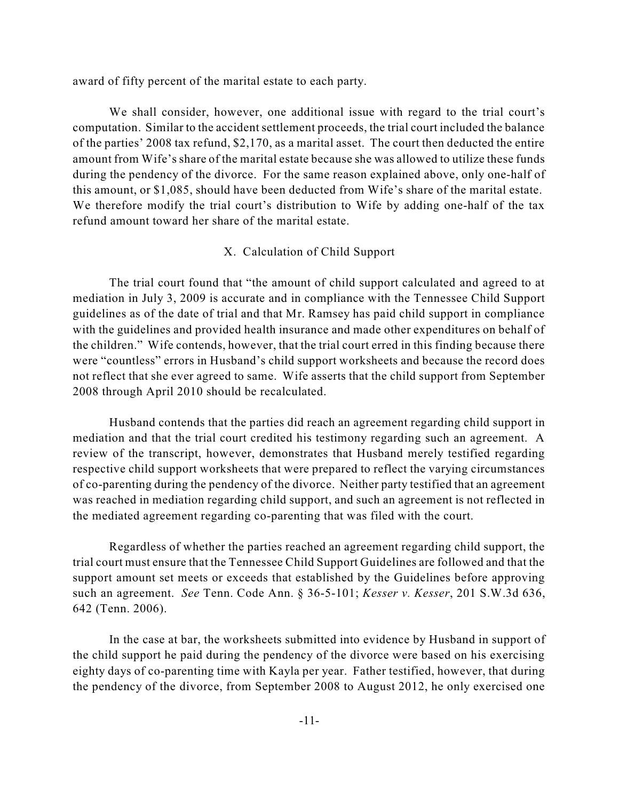award of fifty percent of the marital estate to each party.

We shall consider, however, one additional issue with regard to the trial court's computation. Similar to the accident settlement proceeds, the trial court included the balance of the parties' 2008 tax refund, \$2,170, as a marital asset. The court then deducted the entire amount from Wife's share of the marital estate because she was allowed to utilize these funds during the pendency of the divorce. For the same reason explained above, only one-half of this amount, or \$1,085, should have been deducted from Wife's share of the marital estate. We therefore modify the trial court's distribution to Wife by adding one-half of the tax refund amount toward her share of the marital estate.

# X. Calculation of Child Support

The trial court found that "the amount of child support calculated and agreed to at mediation in July 3, 2009 is accurate and in compliance with the Tennessee Child Support guidelines as of the date of trial and that Mr. Ramsey has paid child support in compliance with the guidelines and provided health insurance and made other expenditures on behalf of the children." Wife contends, however, that the trial court erred in this finding because there were "countless" errors in Husband's child support worksheets and because the record does not reflect that she ever agreed to same. Wife asserts that the child support from September 2008 through April 2010 should be recalculated.

Husband contends that the parties did reach an agreement regarding child support in mediation and that the trial court credited his testimony regarding such an agreement. A review of the transcript, however, demonstrates that Husband merely testified regarding respective child support worksheets that were prepared to reflect the varying circumstances of co-parenting during the pendency of the divorce. Neither party testified that an agreement was reached in mediation regarding child support, and such an agreement is not reflected in the mediated agreement regarding co-parenting that was filed with the court.

Regardless of whether the parties reached an agreement regarding child support, the trial court must ensure that the Tennessee Child Support Guidelines are followed and that the support amount set meets or exceeds that established by the Guidelines before approving such an agreement. *See* Tenn. Code Ann. § 36-5-101; *Kesser v. Kesser*, 201 S.W.3d 636, 642 (Tenn. 2006).

In the case at bar, the worksheets submitted into evidence by Husband in support of the child support he paid during the pendency of the divorce were based on his exercising eighty days of co-parenting time with Kayla per year. Father testified, however, that during the pendency of the divorce, from September 2008 to August 2012, he only exercised one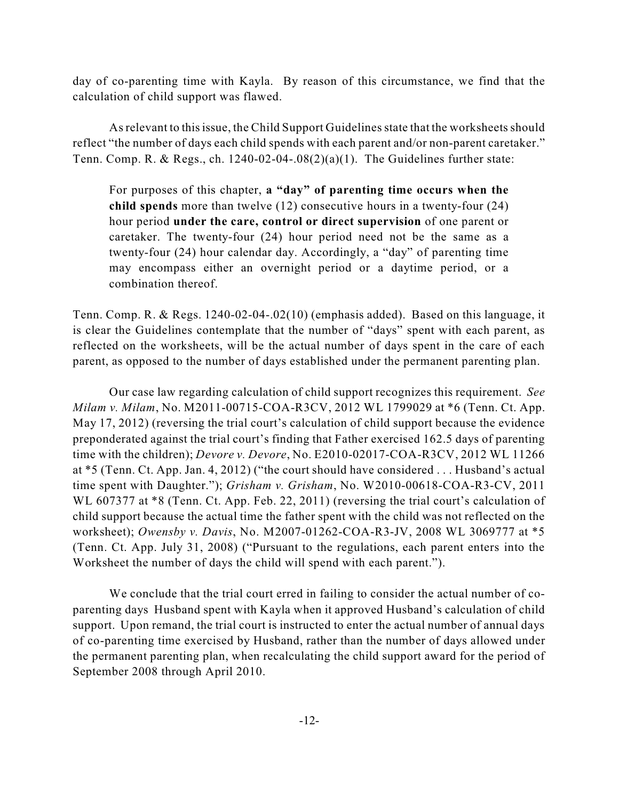day of co-parenting time with Kayla. By reason of this circumstance, we find that the calculation of child support was flawed.

As relevant to this issue, the Child Support Guidelines state that the worksheets should reflect "the number of days each child spends with each parent and/or non-parent caretaker." Tenn. Comp. R. & Regs., ch. 1240-02-04-.08(2)(a)(1). The Guidelines further state:

For purposes of this chapter, **a "day" of parenting time occurs when the child spends** more than twelve (12) consecutive hours in a twenty-four (24) hour period **under the care, control or direct supervision** of one parent or caretaker. The twenty-four (24) hour period need not be the same as a twenty-four (24) hour calendar day. Accordingly, a "day" of parenting time may encompass either an overnight period or a daytime period, or a combination thereof.

Tenn. Comp. R. & Regs. 1240-02-04-.02(10) (emphasis added). Based on this language, it is clear the Guidelines contemplate that the number of "days" spent with each parent, as reflected on the worksheets, will be the actual number of days spent in the care of each parent, as opposed to the number of days established under the permanent parenting plan.

Our case law regarding calculation of child support recognizes this requirement. *See Milam v. Milam*, No. M2011-00715-COA-R3CV, 2012 WL 1799029 at \*6 (Tenn. Ct. App. May 17, 2012) (reversing the trial court's calculation of child support because the evidence preponderated against the trial court's finding that Father exercised 162.5 days of parenting time with the children); *Devore v. Devore*, No. E2010-02017-COA-R3CV, 2012 WL 11266 at \*5 (Tenn. Ct. App. Jan. 4, 2012) ("the court should have considered . . . Husband's actual time spent with Daughter."); *Grisham v. Grisham*, No. W2010-00618-COA-R3-CV, 2011 WL 607377 at  $*8$  (Tenn. Ct. App. Feb. 22, 2011) (reversing the trial court's calculation of child support because the actual time the father spent with the child was not reflected on the worksheet); *Owensby v. Davis*, No. M2007-01262-COA-R3-JV, 2008 WL 3069777 at \*5 (Tenn. Ct. App. July 31, 2008) ("Pursuant to the regulations, each parent enters into the Worksheet the number of days the child will spend with each parent.").

We conclude that the trial court erred in failing to consider the actual number of coparenting days Husband spent with Kayla when it approved Husband's calculation of child support. Upon remand, the trial court is instructed to enter the actual number of annual days of co-parenting time exercised by Husband, rather than the number of days allowed under the permanent parenting plan, when recalculating the child support award for the period of September 2008 through April 2010.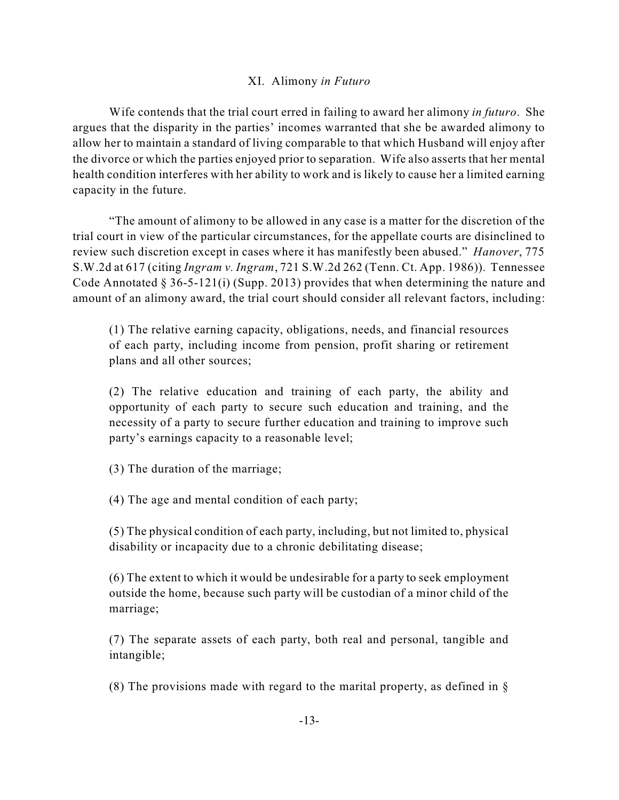# XI. Alimony *in Futuro*

Wife contends that the trial court erred in failing to award her alimony *in futuro*. She argues that the disparity in the parties' incomes warranted that she be awarded alimony to allow her to maintain a standard of living comparable to that which Husband will enjoy after the divorce or which the parties enjoyed prior to separation. Wife also asserts that her mental health condition interferes with her ability to work and is likely to cause her a limited earning capacity in the future.

"The amount of alimony to be allowed in any case is a matter for the discretion of the trial court in view of the particular circumstances, for the appellate courts are disinclined to review such discretion except in cases where it has manifestly been abused." *Hanover*, 775 S.W.2d at 617 (citing *Ingram v. Ingram*, 721 S.W.2d 262 (Tenn. Ct. App. 1986)). Tennessee Code Annotated § 36-5-121(i) (Supp. 2013) provides that when determining the nature and amount of an alimony award, the trial court should consider all relevant factors, including:

(1) The relative earning capacity, obligations, needs, and financial resources of each party, including income from pension, profit sharing or retirement plans and all other sources;

(2) The relative education and training of each party, the ability and opportunity of each party to secure such education and training, and the necessity of a party to secure further education and training to improve such party's earnings capacity to a reasonable level;

(3) The duration of the marriage;

(4) The age and mental condition of each party;

(5) The physical condition of each party, including, but not limited to, physical disability or incapacity due to a chronic debilitating disease;

(6) The extent to which it would be undesirable for a party to seek employment outside the home, because such party will be custodian of a minor child of the marriage;

(7) The separate assets of each party, both real and personal, tangible and intangible;

(8) The provisions made with regard to the marital property, as defined in  $\S$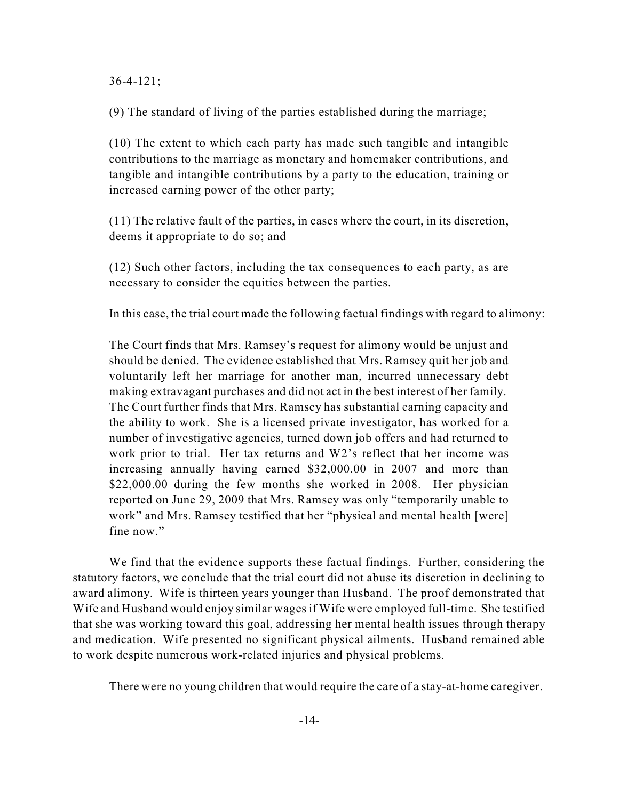36-4-121;

(9) The standard of living of the parties established during the marriage;

(10) The extent to which each party has made such tangible and intangible contributions to the marriage as monetary and homemaker contributions, and tangible and intangible contributions by a party to the education, training or increased earning power of the other party;

(11) The relative fault of the parties, in cases where the court, in its discretion, deems it appropriate to do so; and

(12) Such other factors, including the tax consequences to each party, as are necessary to consider the equities between the parties.

In this case, the trial court made the following factual findings with regard to alimony:

The Court finds that Mrs. Ramsey's request for alimony would be unjust and should be denied. The evidence established that Mrs. Ramsey quit her job and voluntarily left her marriage for another man, incurred unnecessary debt making extravagant purchases and did not act in the best interest of her family. The Court further finds that Mrs. Ramsey has substantial earning capacity and the ability to work. She is a licensed private investigator, has worked for a number of investigative agencies, turned down job offers and had returned to work prior to trial. Her tax returns and W2's reflect that her income was increasing annually having earned \$32,000.00 in 2007 and more than \$22,000.00 during the few months she worked in 2008. Her physician reported on June 29, 2009 that Mrs. Ramsey was only "temporarily unable to work" and Mrs. Ramsey testified that her "physical and mental health [were] fine now."

We find that the evidence supports these factual findings. Further, considering the statutory factors, we conclude that the trial court did not abuse its discretion in declining to award alimony. Wife is thirteen years younger than Husband. The proof demonstrated that Wife and Husband would enjoy similar wages if Wife were employed full-time. She testified that she was working toward this goal, addressing her mental health issues through therapy and medication. Wife presented no significant physical ailments. Husband remained able to work despite numerous work-related injuries and physical problems.

There were no young children that would require the care of a stay-at-home caregiver.